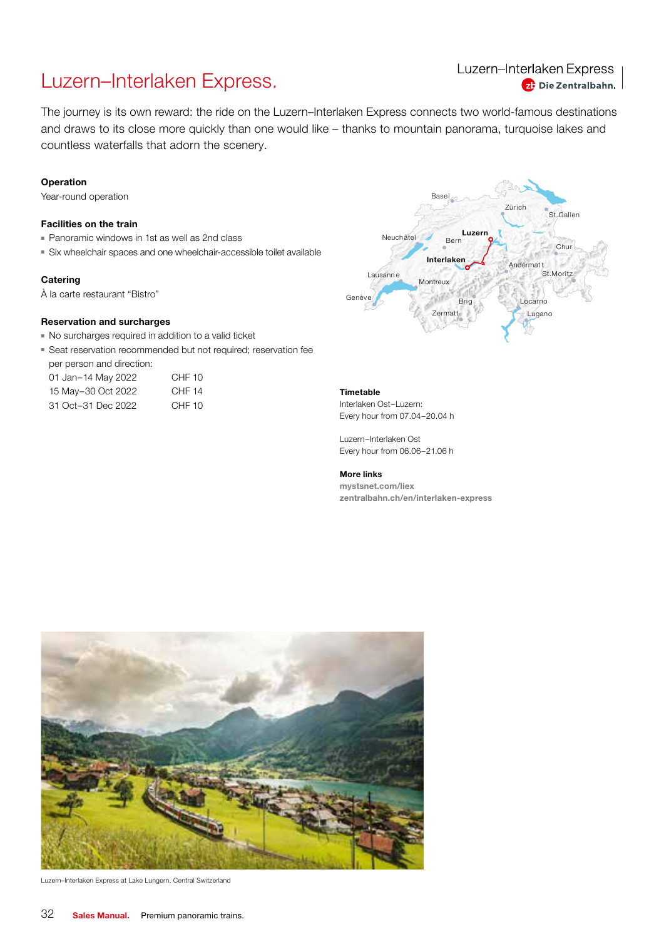## Luzern–Interlaken Express.

Luzern-Interlaken Express <sup>2</sup> Die Zentralbahn.

The journey is its own reward: the ride on the Luzern–Interlaken Express connects two world-famous destinations and draws to its close more quickly than one would like – thanks to mountain panorama, turquoise lakes and countless waterfalls that adorn the scenery.

#### Operation

Year-round operation

#### Facilities on the train

- Panoramic windows in 1st as well as 2nd class
- Six wheelchair spaces and one wheelchair-accessible toilet available

#### **Catering**

À la carte restaurant "Bistro"

#### Reservation and surcharges

- No surcharges required in addition to a valid ticket
- Seat reservation recommended but not required; reservation fee per person and direction:
- 01 Jan-14 May 2022 CHF 10 15 May–30 Oct 2022 CHF 14
- 31 Oct–31 Dec 2022 CHF 10



#### Timetable

Interlaken Ost–Luzern: Every hour from 07.04–20.04 h

Luzern–Interlaken Ost Every hour from 06.06–21.06 h

#### More links

mystsnet.com/liex zentralbahn.ch/en/interlaken-express



Luzern–Interlaken Express at Lake Lungern, Central Switzerland